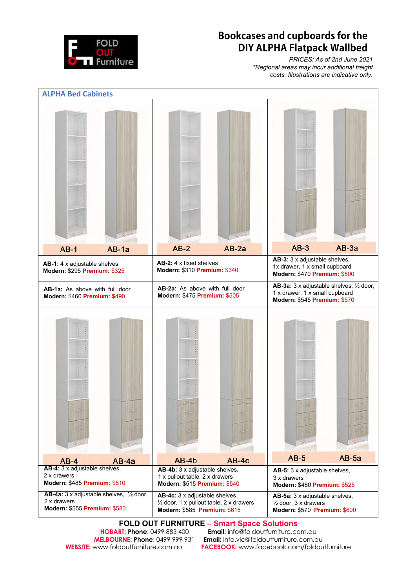

## **Bookcases and cupboards for the DIY ALPHA Flatpack Wallbed**

*PRICES: As of 2nd June 2021 \*Regional areas may incur additional freight costs. Illustrations are indicative only.* 



**FOLD OUT FURNITURE – Smart Space Solutions**<br>HOBART: Phone: 0499 883 400 **Email:** info@foldoutfurniture.com

**HOBART: Phone**: 0499 883 400 **Email:** info@foldoutfurniture.com.au<br>**MELBOURNE: Phone**: 0499 999 931 **Email:** info.vic@foldoutfurniture.com.c **Email:** info.vic@foldoutfurniture.com.au **WEBSITE:** www.foldoutfurniture.com.au **FACEBOOK:** www.facebook.com/foldoutfurniture